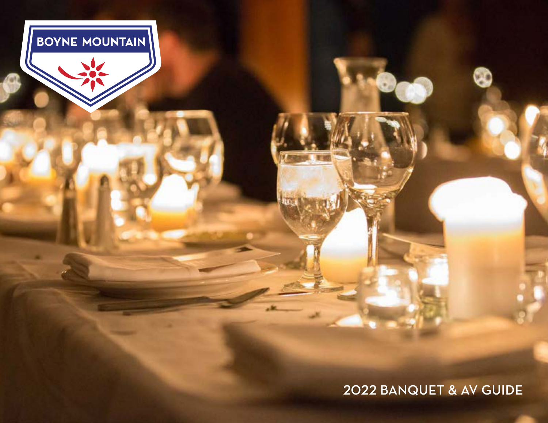

2022 BANQUET & AV GUIDE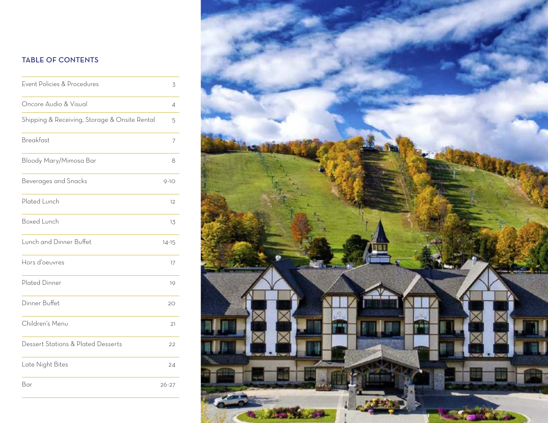TABLE OF CONTENTS

| Event Policies & Procedures                   | 3         |
|-----------------------------------------------|-----------|
| Oncore Audio & Visual                         | 4         |
| Shipping & Receiving, Storage & Onsite Rental | 5         |
| <b>Breakfast</b>                              | 7         |
| Bloody Mary/Mimosa Bar                        | 8         |
| Beverages and Snacks                          | $9-10$    |
| Plated Lunch                                  | 12        |
| <b>Boxed Lunch</b>                            | 13        |
| Lunch and Dinner Buffet                       | $14 - 15$ |
| Hors d'oeuvres                                | 17        |
| Plated Dinner                                 | 19        |
| Dinner Buffet                                 | 20        |
| Children's Menu                               | 21        |
| Dessert Stations & Plated Desserts            | 22        |
| Late Night Bites                              | 24        |
| Bar                                           | 26-27     |

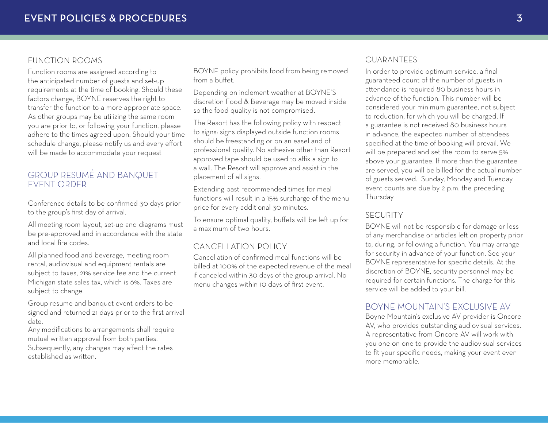# FUNCTION ROOMS

Function rooms are assigned according to the anticipated number of guests and set-up requirements at the time of booking. Should these factors change, BOYNE reserves the right to transfer the function to a more appropriate space. As other groups may be utilizing the same room you are prior to, or following your function, please adhere to the times agreed upon. Should your time schedule change, please notify us and every effort will be made to accommodate your request

# GROUP RESUMÉ AND BANQUET EVENT ORDER

Conference details to be confirmed 30 days prior to the group's first day of arrival.

All meeting room layout, set-up and diagrams must be pre-approved and in accordance with the state and local fire codes.

All planned food and beverage, meeting room rental, audiovisual and equipment rentals are subject to taxes, 21% service fee and the current Michigan state sales tax, which is 6%. Taxes are subject to change.

Group resume and banquet event orders to be signed and returned 21 days prior to the first arrival date.

Any modifications to arrangements shall require mutual written approval from both parties. Subsequently, any changes may affect the rates established as written.

BOYNE policy prohibits food from being removed from a buffet.

Depending on inclement weather at BOYNE'S discretion Food & Beverage may be moved inside so the food quality is not compromised.

The Resort has the following policy with respect to signs: signs displayed outside function rooms should be freestanding or on an easel and of professional quality. No adhesive other than Resort approved tape should be used to affix a sign to a wall. The Resort will approve and assist in the placement of all signs.

Extending past recommended times for meal functions will result in a 15% surcharge of the menu price for every additional 30 minutes.

To ensure optimal quality, buffets will be left up for a maximum of two hours.

# CANCELLATION POLICY

Cancellation of confirmed meal functions will be billed at 100% of the expected revenue of the meal if canceled within 30 days of the group arrival. No menu changes within 10 days of first event.

# GUARANTEES

In order to provide optimum service, a final guaranteed count of the number of guests in attendance is required 80 business hours in advance of the function. This number will be considered your minimum guarantee, not subject to reduction, for which you will be charged. If a guarantee is not received 80 business hours in advance, the expected number of attendees specified at the time of booking will prevail. We will be prepared and set the room to serve 5% above your guarantee. If more than the guarantee are served, you will be billed for the actual number of guests served. Sunday, Monday and Tuesday event counts are due by 2 p.m. the preceding Thursday

# SECURITY

BOYNE will not be responsible for damage or loss of any merchandise or articles left on property prior to, during, or following a function. You may arrange for security in advance of your function. See your BOYNE representative for specific details. At the discretion of BOYNE, security personnel may be required for certain functions. The charge for this service will be added to your bill.

# BOYNE MOUNTAIN'S EXCLUSIVE AV

Boyne Mountain's exclusive AV provider is Oncore AV, who provides outstanding audiovisual services. A representative from Oncore AV will work with you one on one to provide the audiovisual services to fit your specific needs, making your event even more memorable.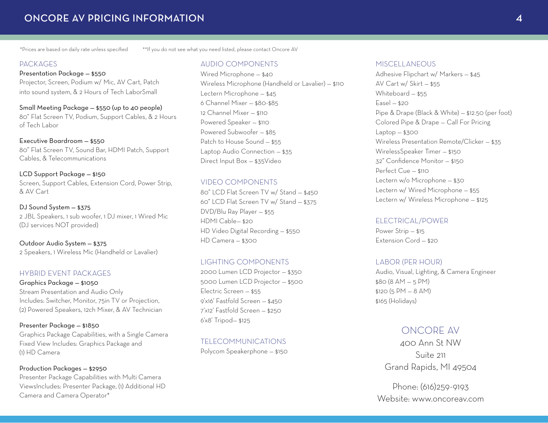\*Prices are based on daily rate unless specified \*\*If you do not see what you need listed, please contact Oncore AV

# PACKAGES

Presentation Package — \$550 Projector, Screen, Podium w/ Mic, AV Cart, Patch into sound system, & 2 Hours of Tech LaborSmall

Small Meeting Package — \$550 (up to 40 people) 80" Flat Screen TV, Podium, Support Cables, & 2 Hours of Tech Labor

Executive Boardroom — \$550 80" Flat Screen TV, Sound Bar, HDMI Patch, Support Cables, & Telecommunications

LCD Support Package — \$150 Screen, Support Cables, Extension Cord, Power Strip, & AV Cart

DJ Sound System — \$375 2 JBL Speakers, 1 sub woofer, 1 DJ mixer, 1 Wired Mic (DJ services NOT provided)

Outdoor Audio System — \$375 2 Speakers, 1 Wireless Mic (Handheld or Lavalier)

# HYBRID EVENT PACKAGES

Graphics Package — \$1050 Stream Presentation and Audio Only Includes: Switcher, Monitor, 75in TV or Projection, (2) Powered Speakers, 12ch Mixer, & AV Technician

Presenter Package — \$1850 Graphics Package Capabilities, with a Single Camera Fixed View Includes: Graphics Package and (1) HD Camera

Production Packages — \$2950 Presenter Package Capabilities with Multi Camera ViewsIncludes: Presenter Package, (1) Additional HD Camera and Camera Operator\*

# AUDIO COMPONENTS

Wired Microphone — \$40 Wireless Microphone (Handheld or Lavalier) — \$110 Lectern Microphone — \$45 6 Channel Mixer — \$80-\$85 12 Channel Mixer — \$110 Powered Speaker — \$110 Powered Subwoofer — \$85 Patch to House Sound — \$55 Laptop Audio Connection — \$35 Direct Input Box — \$35Video

# VIDEO COMPONENTS

80" LCD Flat Screen TV w/ Stand — \$450 60" LCD Flat Screen TV w/ Stand — \$375 DVD/Blu Ray Player — \$55 HDMI Cable— \$20 HD Video Digital Recording — \$550 HD Camera — \$300

# LIGHTING COMPONENTS

2000 Lumen LCD Projector — \$350 5000 Lumen LCD Projector — \$500 Electric Screen — \$55 9'x16' Fastfold Screen — \$450 7'x12' Fastfold Screen — \$250 6'x8' Tripod— \$125

TELECOMMUNICATIONS

Polycom Speakerphone — \$150

#### MISCELLANEOUS

Adhesive Flipchart w/ Markers — \$45 AV Cart w/ Skirt — \$55 Whiteboard — \$55  $EaseI - $20$ Pipe & Drape (Black & White) — \$12.50 (per foot) Colored Pipe & Drape — Call For Pricing Laptop — \$300 Wireless Presentation Remote/Clicker — \$35 WirelessSpeaker Timer — \$150 32" Confidence Monitor — \$150 Perfect Cue — \$110 Lectern w/o Microphone — \$30 Lectern w/ Wired Microphone — \$55 Lectern w/ Wireless Microphone — \$125

#### ELECTRICAL/POWER

Power Strip — \$15 Extension Cord — \$20

# LABOR (PER HOUR)

Audio, Visual, Lighting, & Camera Engineer  $$80 (8 AM – 5 PM)$  $$120 (5 PM - 8 AM)$ \$165 (Holidays)

# ONCORE AV

400 Ann St NW Suite 211 Grand Rapids, MI 49504

Phone: (616)259-9193 Website: www.oncoreav.com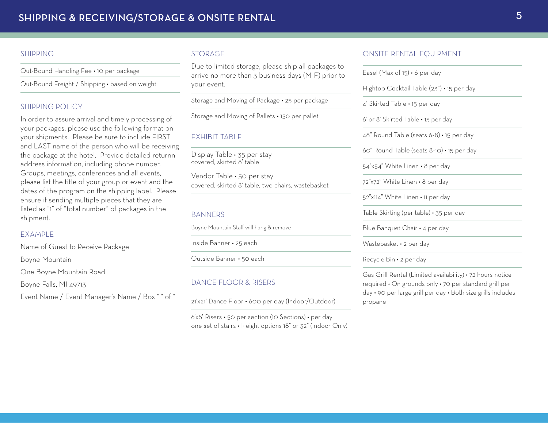# SHIPPING

Out-Bound Handling Fee • 10 per package

Out-Bound Freight / Shipping • based on weight

# SHIPPING POLICY

In order to assure arrival and timely processing of your packages, please use the following format on your shipments. Please be sure to include FIRST and LAST name of the person who will be receiving the package at the hotel. Provide detailed returnn address information, including phone number. Groups, meetings, conferences and all events, please list the title of your group or event and the dates of the program on the shipping label. Please ensure if sending multiple pieces that they are listed as "1" of "total number" of packages in the shipment.

# EXAMPLE

Name of Guest to Receive Package

Boyne Mountain

One Boyne Mountain Road

Boyne Falls, MI 49713

Event Name / Event Manager's Name / Box "\_" of "\_

# STORAGE

Due to limited storage, please ship all packages to arrive no more than 3 business days (M-F) prior to your event.

Storage and Moving of Package • 25 per package

Storage and Moving of Pallets • 150 per pallet

# EXHIBIT TABLE

Display Table • 35 per stay covered, skirted 8' table

Vendor Table • 50 per stay covered, skirted 8' table, two chairs, wastebasket

# **BANNERS**

Boyne Mountain Staff will hang & remove

Inside Banner • 25 each

Outside Banner • 50 each

# DANCE FLOOR & RISERS

21'x21' Dance Floor • 600 per day (Indoor/Outdoor)

6'x8' Risers • 50 per section (10 Sections) • per day one set of stairs • Height options 18" or 32" (Indoor Only)

# ONSITE RENTAL EQUIPMENT

| Easel (Max of 15) $\cdot$ 6 per day             |
|-------------------------------------------------|
| Hightop Cocktail Table (23") • 15 per day       |
| $\overline{4}$ ' Skirted Table • 15 per day     |
| 6' or 8' Skirted Table • 15 per day             |
| 48" Round Table (seats 6-8) • 15 per day        |
| 60" Round Table (seats 8-10) $\cdot$ 15 per day |
| 54"x54" White Linen • 8 per day                 |
| 72"x72" White Linen • 8 per day                 |
| 52"x114" White Linen • 11 per day               |
| Table Skirting (per table) • 35 per day         |
| Blue Banquet Chair • 4 per day                  |
| Wastebasket • 2 per day                         |
| Recycle Bin $\cdot$ 2 per day                   |
|                                                 |

Gas Grill Rental (Limited availability) • 72 hours notice required • On grounds only • 70 per standard grill per day • 90 per large grill per day • Both size grills includes propane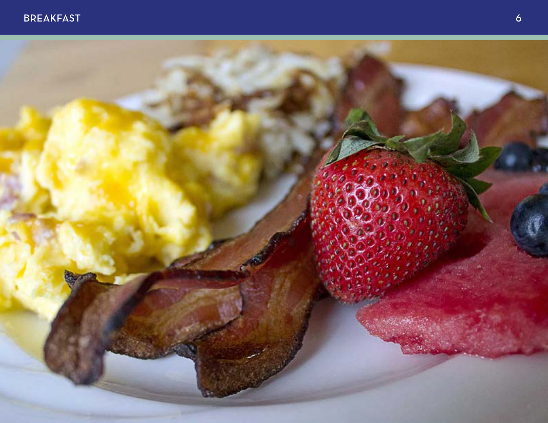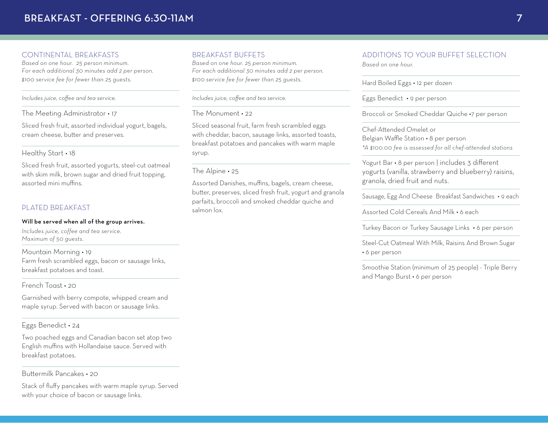# CONTINENTAL BREAKFASTS

*Based on one hour. 25 person minimum. For each additional 30 minutes add 2 per person. \$100 service fee for fewer than 25 guests.*

# *Includes juice, coffee and tea service.*

# The Meeting Administrator • 17

Sliced fresh fruit, assorted individual yogurt, bagels, cream cheese, butter and preserves.

# Healthy Start • 18

Sliced fresh fruit, assorted yogurts, steel-cut oatmeal with skim milk, brown sugar and dried fruit topping, assorted mini muffins.

# PLATED BREAKFAST

#### Will be served when all of the group arrives.

*Includes juice, coffee and tea service. Maximum of 50 guests.* 

Mountain Morning • 19 Farm fresh scrambled eggs, bacon or sausage links, breakfast potatoes and toast.

# French Toast • 20

Garnished with berry compote, whipped cream and maple syrup. Served with bacon or sausage links.

# Eggs Benedict • 24

Two poached eggs and Canadian bacon set atop two English muffins with Hollandaise sauce. Served with breakfast potatoes.

# Buttermilk Pancakes • 20

Stack of fluffy pancakes with warm maple syrup. Served with your choice of bacon or sausage links.

# BREAKFAST BUFFETS

*Based on one hour. 25 person minimum. For each additional 30 minutes add 2 per person. \$100 service fee for fewer than 25 guests.*

*Includes juice, coffee and tea service.*

# The Monument • 22

Sliced seasonal fruit, farm fresh scrambled eggs with cheddar, bacon, sausage links, assorted toasts, breakfast potatoes and pancakes with warm maple syrup.

# The Alpine • 25

Assorted Danishes, muffins, bagels, cream cheese, butter, preserves, sliced fresh fruit, yogurt and granola parfaits, broccoli and smoked cheddar quiche and salmon lox.

# ADDITIONS TO YOUR BUFFET SELECTION

*Based on one hour.* 

Hard Boiled Eggs • 12 per dozen

Eggs Benedict • 9 per person

Broccoli or Smoked Cheddar Quiche •7 per person

Chef-Attended Omelet or Belgian Waffle Station • 8 per person *\*A \$100.00 fee is assessed for all chef-attended stations*

Yogurt Bar • 8 per person | includes 3 different yogurts (vanilla, strawberry and blueberry) raisins, granola, dried fruit and nuts.

Sausage, Egg And Cheese Breakfast Sandwiches • 9 each

Assorted Cold Cereals And Milk • 6 each

Turkey Bacon or Turkey Sausage Links • 6 per person

Steel-Cut Oatmeal With Milk, Raisins And Brown Sugar • 6 per person

Smoothie Station (minimum of 25 people) - Triple Berry and Mango Burst • 6 per person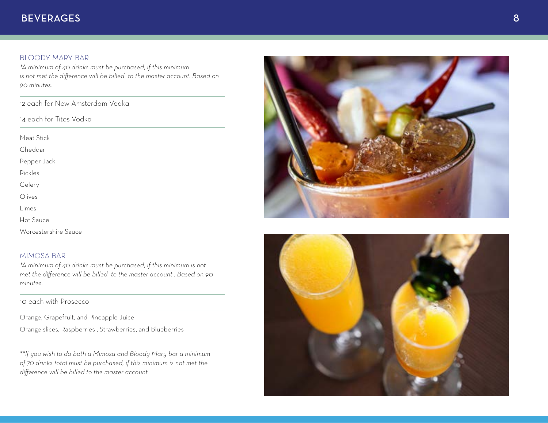# BEVERAGES

# BLOODY MARY BAR

*\*A minimum of 40 drinks must be purchased, if this minimum is not met the difference will be billed to the master account. Based on 90 minutes.* 

| 12 each for New Amsterdam Vodka |  |
|---------------------------------|--|
| 14 each for Titos Vodka         |  |
| Meat Stick                      |  |
| Cheddar                         |  |
| Pepper Jack                     |  |
| Pickles                         |  |
| Celery                          |  |
| Olives                          |  |
| Limes                           |  |
| Hot Sauce                       |  |
| Worcestershire Sauce            |  |

# MIMOSA BAR

*\*A minimum of 40 drinks must be purchased, if this minimum is not met the difference will be billed to the master account . Based on 90 minutes.* 

10 each with Prosecco

Orange, Grapefruit, and Pineapple Juice

Orange slices, Raspberries , Strawberries, and Blueberries

*\*\*If you wish to do both a Mimosa and Bloody Mary bar a minimum of 70 drinks total must be purchased, if this minimum is not met the difference will be billed to the master account.*



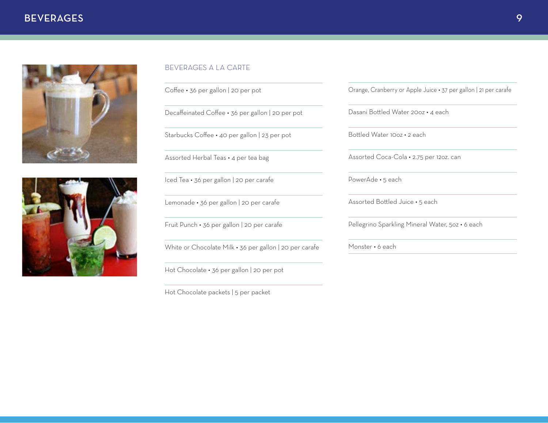



# BEVERAGES A LA CARTE

Coffee • 36 per gallon | 20 per pot

Decaffeinated Coffee • 36 per gallon | 20 per pot

Starbucks Coffee • 40 per gallon | 23 per pot

Assorted Herbal Teas • 4 per tea bag

Iced Tea • 36 per gallon | 20 per carafe

Lemonade • 36 per gallon | 20 per carafe

Fruit Punch • 36 per gallon | 20 per carafe

White or Chocolate Milk • 36 per gallon | 20 per carafe

Hot Chocolate • 36 per gallon | 20 per pot

Hot Chocolate packets | 5 per packet

Orange, Cranberry or Apple Juice • 37 per gallon | 21 per carafe

Dasani Bottled Water 20oz • 4 each

Bottled Water 10oz • 2 each

Assorted Coca-Cola • 2.75 per 12oz. can

PowerAde • 5 each

Assorted Bottled Juice • 5 each

Pellegrino Sparkling Mineral Water, 5oz • 6 each

Monster • 6 each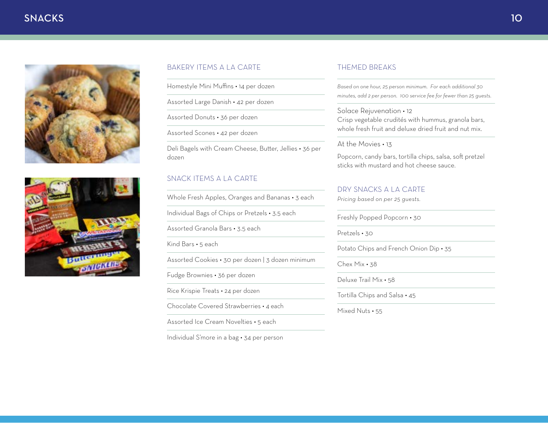



# BAKERY ITEMS A LA CARTE

Homestyle Mini Muffins • 14 per dozen

Assorted Large Danish • 42 per dozen

Assorted Donuts • 36 per dozen

Assorted Scones • 42 per dozen

Deli Bagels with Cream Cheese, Butter, Jellies • 36 per dozen

# SNACK ITEMS A LA CARTE

Whole Fresh Apples, Oranges and Bananas • 3 each

Individual Bags of Chips or Pretzels • 3.5 each

Assorted Granola Bars • 3.5 each

Kind Bars • 5 each

Assorted Cookies • 30 per dozen | 3 dozen minimum

Fudge Brownies • 36 per dozen

Rice Krispie Treats • 24 per dozen

Chocolate Covered Strawberries • 4 each

Assorted Ice Cream Novelties • 5 each

Individual S'more in a bag • 34 per person

#### THEMED BREAKS

*Based on one hour, 25 person minimum. For each additional 30 minutes, add 2 per person. 100 service fee for fewer than 25 guests.*

Solace Rejuvenation • 12 Crisp vegetable crudités with hummus, granola bars, whole fresh fruit and deluxe dried fruit and nut mix.

# At the Movies • 13

Popcorn, candy bars, tortilla chips, salsa, soft pretzel sticks with mustard and hot cheese sauce.

#### DRY SNACKS A LA CARTE

*Pricing based on per 25 guests.* 

Freshly Popped Popcorn • 30

Pretzels • 30

Potato Chips and French Onion Dip • 35

Chex Mix • 38

Deluxe Trail Mix • 58

Tortilla Chips and Salsa • 45

Mixed Nuts • 55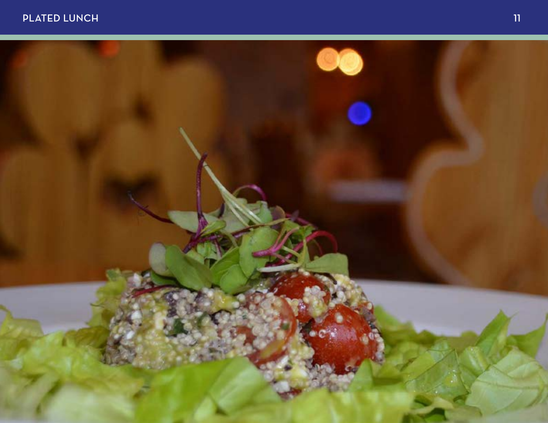# PLATED LUNCH AND IN THE RESERVE OF THE RESERVE OF THE RESERVE OF THE RESERVE OF THE RESERVE OF THE RESERVE OF T

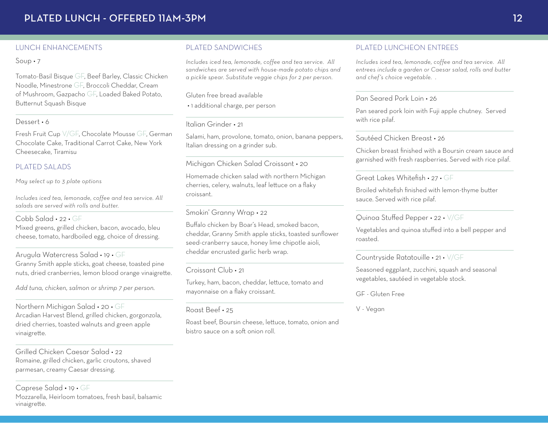# PLATED LUNCH - OFFERED 11AM-3PM 12

# LUNCH ENHANCEMENTS

#### Soup • 7

Tomato-Basil Bisque GF, Beef Barley, Classic Chicken Noodle, Minestrone GF, Broccoli Cheddar, Cream of Mushroom, Gazpacho GF, Loaded Baked Potato, Butternut Squash Bisque

#### Dessert • 6

Fresh Fruit Cup V/GF, Chocolate Mousse GF, German Chocolate Cake, Traditional Carrot Cake, New York Cheesecake, Tiramisu

# PLATED SALADS

*May select up to 3 plate options*

*Includes iced tea, lemonade, coffee and tea service. All salads are served with rolls and butter.* 

# Cobb Salad • 22 • GF

Mixed greens, grilled chicken, bacon, avocado, bleu cheese, tomato, hardboiled egg, choice of dressing.

Arugula Watercress Salad • 19 • GF Granny Smith apple sticks, goat cheese, toasted pine nuts, dried cranberries, lemon blood orange vinaigrette.

*Add tuna, chicken, salmon or shrimp 7 per person.* 

Northern Michigan Salad • 20 • GF Arcadian Harvest Blend, grilled chicken, gorgonzola, dried cherries, toasted walnuts and green apple vinaigrette.

Grilled Chicken Caesar Salad • 22 Romaine, grilled chicken, garlic croutons, shaved parmesan, creamy Caesar dressing.

Caprese Salad • 19 • GF Mozzarella, Heirloom tomatoes, fresh basil, balsamic vinaigrette.

# PLATED SANDWICHES

*Includes iced tea, lemonade, coffee and tea service. All sandwiches are served with house-made potato chips and a pickle spear. Substitute veggie chips for 2 per person.*

Gluten free bread available

• 1 additional charge, per person

# Italian Grinder • 21

Salami, ham, provolone, tomato, onion, banana peppers, Italian dressing on a grinder sub.

# Michigan Chicken Salad Croissant • 20

Homemade chicken salad with northern Michigan cherries, celery, walnuts, leaf lettuce on a flaky croissant.

# Smokin' Granny Wrap • 22

Buffalo chicken by Boar's Head, smoked bacon, cheddar, Granny Smith apple sticks, toasted sunflower seed-cranberry sauce, honey lime chipotle aioli, cheddar encrusted garlic herb wrap.

# Croissant Club • 21

Turkey, ham, bacon, cheddar, lettuce, tomato and mayonnaise on a flaky croissant.

# Roast Beef • 25

Roast beef, Boursin cheese, lettuce, tomato, onion and bistro sauce on a soft onion roll.

# PLATED LUNCHEON ENTREES

*Includes iced tea, lemonade, coffee and tea service. All entrees include a garden or Caesar salad, rolls and butter and chef's choice vegetable. .*

# Pan Seared Pork Loin • 26

Pan seared pork loin with Fuji apple chutney. Served with rice pilaf.

# Sautéed Chicken Breast • 26

Chicken breast finished with a Boursin cream sauce and garnished with fresh raspberries. Served with rice pilaf.

# Great Lakes Whitefish • 27 • GF

Broiled whitefish finished with lemon-thyme butter sauce. Served with rice pilaf.

# Quinoa Stuffed Pepper • 22 • V/GF

Vegetables and quinoa stuffed into a bell pepper and roasted.

# Countryside Ratatouille • 21 • V/GF

Seasoned eggplant, zucchini, squash and seasonal vegetables, sautéed in vegetable stock.

GF - Gluten Free

#### V - Vegan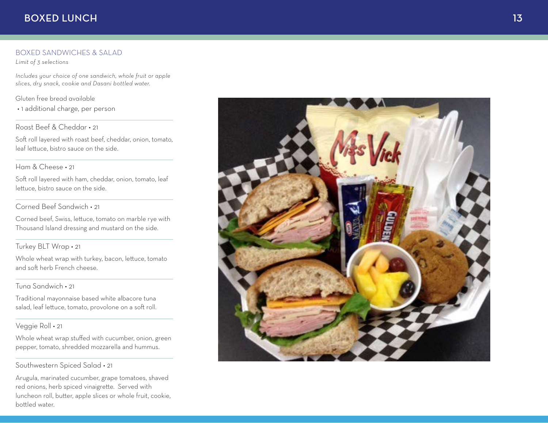# BOXED LUNCH NEWSFILM IN THE RESERVE OF THE RESERVE OF THE RESERVE OF THE RESERVE OF THE RESERVE OF THE RESERVE

# BOXED SANDWICHES & SALAD

*Limit of 3 selections*

*Includes your choice of one sandwich, whole fruit or apple slices, dry snack, cookie and Dasani bottled water.* 

Gluten free bread available

• 1 additional charge, per person

# Roast Beef & Cheddar • 21

Soft roll layered with roast beef, cheddar, onion, tomato, leaf lettuce, bistro sauce on the side.

#### Ham & Cheese • 21

Soft roll layered with ham, cheddar, onion, tomato, leaf lettuce, bistro sauce on the side.

# Corned Beef Sandwich • 21

Corned beef, Swiss, lettuce, tomato on marble rye with Thousand Island dressing and mustard on the side.

# Turkey BLT Wrap • 21

Whole wheat wrap with turkey, bacon, lettuce, tomato and soft herb French cheese.

# Tuna Sandwich • 21

Traditional mayonnaise based white albacore tuna salad, leaf lettuce, tomato, provolone on a soft roll.

# Veggie Roll • 21

Whole wheat wrap stuffed with cucumber, onion, green pepper, tomato, shredded mozzarella and hummus.

# Southwestern Spiced Salad • 21

Arugula, marinated cucumber, grape tomatoes, shaved red onions, herb spiced vinaigrette. Served with luncheon roll, butter, apple slices or whole fruit, cookie, bottled water.

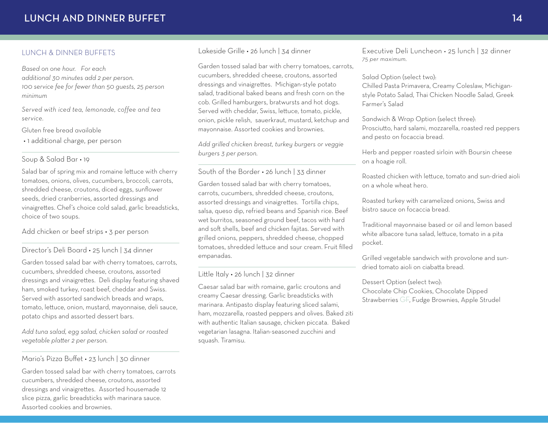# LUNCH & DINNER BUFFETS

*Based on one hour. For each additional 30 minutes add 2 per person. 100 service fee for fewer than 50 guests, 25 person minimum* 

*Served with iced tea, lemonade, coffee and tea service.* 

Gluten free bread available

• 1 additional charge, per person

Soup & Salad Bar • 19

Salad bar of spring mix and romaine lettuce with cherry tomatoes, onions, olives, cucumbers, broccoli, carrots, shredded cheese, croutons, diced eggs, sunflower seeds, dried cranberries, assorted dressings and vinaigrettes. Chef's choice cold salad, garlic breadsticks, choice of two soups.

Add chicken or beef strips • 3 per person

Director's Deli Board • 25 lunch | 34 dinner

Garden tossed salad bar with cherry tomatoes, carrots, cucumbers, shredded cheese, croutons, assorted dressings and vinaigrettes. Deli display featuring shaved ham, smoked turkey, roast beef, cheddar and Swiss. Served with assorted sandwich breads and wraps, tomato, lettuce, onion, mustard, mayonnaise, deli sauce, potato chips and assorted dessert bars.

*Add tuna salad, egg salad, chicken salad or roasted vegetable platter 2 per person.* 

Mario's Pizza Buffet • 23 lunch | 30 dinner

Garden tossed salad bar with cherry tomatoes, carrots cucumbers, shredded cheese, croutons, assorted dressings and vinaigrettes. Assorted housemade 12 slice pizza, garlic breadsticks with marinara sauce. Assorted cookies and brownies.

# Lakeside Grille · 26 lunch | 34 dinner

Garden tossed salad bar with cherry tomatoes, carrots, cucumbers, shredded cheese, croutons, assorted dressings and vinaigrettes. Michigan-style potato salad, traditional baked beans and fresh corn on the cob. Grilled hamburgers, bratwursts and hot dogs. Served with cheddar, Swiss, lettuce, tomato, pickle, onion, pickle relish, sauerkraut, mustard, ketchup and mayonnaise. Assorted cookies and brownies.

*Add grilled chicken breast, turkey burgers or veggie burgers 3 per person.* 

South of the Border • 26 lunch | 33 dinner

Garden tossed salad bar with cherry tomatoes, carrots, cucumbers, shredded cheese, croutons, assorted dressings and vinaigrettes. Tortilla chips, salsa, queso dip, refried beans and Spanish rice. Beef wet burritos, seasoned ground beef, tacos with hard and soft shells, beef and chicken fajitas. Served with grilled onions, peppers, shredded cheese, chopped tomatoes, shredded lettuce and sour cream. Fruit filled empanadas.

Little Italy • 26 lunch | 32 dinner

Caesar salad bar with romaine, garlic croutons and creamy Caesar dressing. Garlic breadsticks with marinara. Antipasto display featuring sliced salami, ham, mozzarella, roasted peppers and olives. Baked ziti with authentic Italian sausage, chicken piccata. Baked vegetarian lasagna. Italian-seasoned zucchini and squash. Tiramisu.

Executive Deli Luncheon • 25 lunch | 32 dinner *75 per maximum.* 

Salad Option (select two):

Chilled Pasta Primavera, Creamy Coleslaw, Michiganstyle Potato Salad, Thai Chicken Noodle Salad, Greek Farmer's Salad

Sandwich & Wrap Option (select three): Prosciutto, hard salami, mozzarella, roasted red peppers and pesto on focaccia bread.

Herb and pepper roasted sirloin with Boursin cheese on a hoagie roll.

Roasted chicken with lettuce, tomato and sun-dried aioli on a whole wheat hero.

Roasted turkey with caramelized onions, Swiss and bistro sauce on focaccia bread.

Traditional mayonnaise based or oil and lemon based white albacore tuna salad, lettuce, tomato in a pita pocket.

Grilled vegetable sandwich with provolone and sundried tomato aioli on ciabatta bread.

Dessert Option (select two): Chocolate Chip Cookies, Chocolate Dipped Strawberries GF, Fudge Brownies, Apple Strudel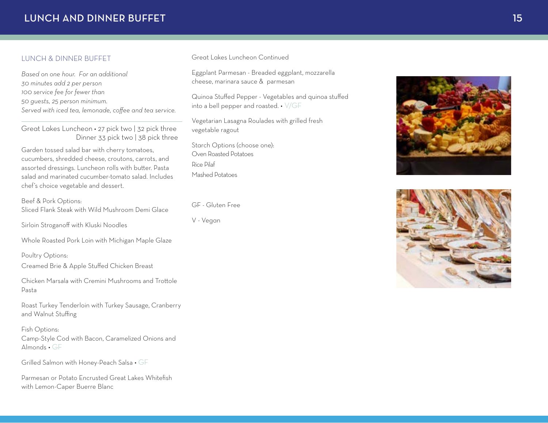# LUNCH AND DINNER BUFFET 15

# LUNCH & DINNER BUFFET

*Based on one hour. For an additional 30 minutes add 2 per person 100 service fee for fewer than 50 guests, 25 person minimum. Served with iced tea, lemonade, coffee and tea service.* 

Great Lakes Luncheon • 27 pick two | 32 pick three Dinner 33 pick two | 38 pick three

Garden tossed salad bar with cherry tomatoes, cucumbers, shredded cheese, croutons, carrots, and assorted dressings. Luncheon rolls with butter. Pasta salad and marinated cucumber-tomato salad. Includes chef's choice vegetable and dessert.

Beef & Pork Options: Sliced Flank Steak with Wild Mushroom Demi Glace

Sirloin Stroganoff with Kluski Noodles

Whole Roasted Pork Loin with Michigan Maple Glaze

Poultry Options: Creamed Brie & Apple Stuffed Chicken Breast

Chicken Marsala with Cremini Mushrooms and Trottole Pasta

Roast Turkey Tenderloin with Turkey Sausage, Cranberry and Walnut Stuffing

Fish Options: Camp-Style Cod with Bacon, Caramelized Onions and Almonds • GF

Grilled Salmon with Honey-Peach Salsa • GF

Parmesan or Potato Encrusted Great Lakes Whitefish with Lemon-Caper Buerre Blanc

Great Lakes Luncheon Continued

Eggplant Parmesan - Breaded eggplant, mozzarella cheese, marinara sauce & parmesan

Quinoa Stuffed Pepper - Vegetables and quinoa stuffed into a bell pepper and roasted. • V/GF

Vegetarian Lasagna Roulades with grilled fresh vegetable ragout

Starch Options (choose one): Oven Roasted Potatoes Rice Pilaf Mashed Potatoes

GF - Gluten Free V - Vegan



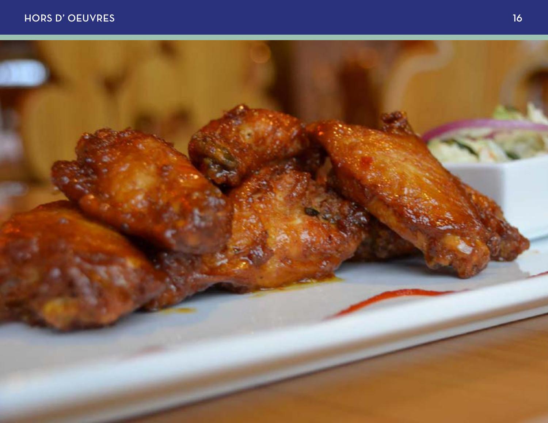# HORS D' OEUVRES 16

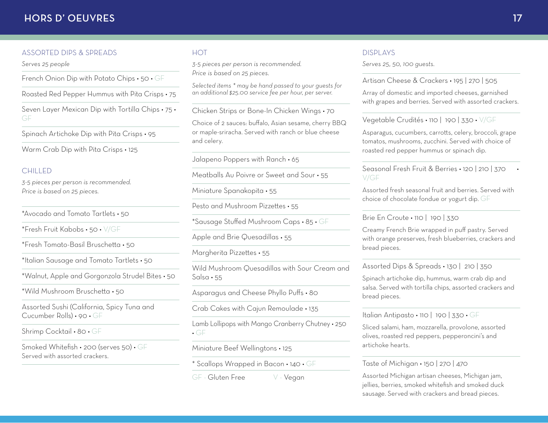# HORS D' OEUVRES 17

# ASSORTED DIPS & SPREADS

*Serves 25 people* 

French Onion Dip with Potato Chips • 50 • GF

Roasted Red Pepper Hummus with Pita Crisps • 75

Seven Layer Mexican Dip with Tortilla Chips • 75 • GF

Spinach Artichoke Dip with Pita Crisps • 95

Warm Crab Dip with Pita Crisps • 125

# **CHILLED**

*3-5 pieces per person is recommended. Price is based on 25 pieces.* 

\*Avocado and Tomato Tartlets • 50

\*Fresh Fruit Kabobs • 50 • V/GF

\*Fresh Tomato-Basil Bruschetta • 50

\*Italian Sausage and Tomato Tartlets • 50

\*Walnut, Apple and Gorgonzola Strudel Bites • 50

\*Wild Mushroom Bruschetta • 50

Assorted Sushi (California, Spicy Tuna and Cucumber Rolls) • 90 • GF

Shrimp Cocktail • 80 • GF

Smoked Whitefish • 200 (serves 50) • GF Served with assorted crackers.

# HOT

*3-5 pieces per person is recommended. Price is based on 25 pieces.* 

*Selected items \* may be hand passed to your guests for an additional \$25.00 service fee per hour, per server.* 

Chicken Strips or Bone-In Chicken Wings • 70

Choice of 2 sauces: buffalo, Asian sesame, cherry BBQ or maple-sriracha. Served with ranch or blue cheese and celery.

Jalapeno Poppers with Ranch • 65

Meatballs Au Poivre or Sweet and Sour • 55

Miniature Spanakopita • 55

Pesto and Mushroom Pizzettes • 55

\*Sausage Stuffed Mushroom Caps • 85 • GF

Apple and Brie Quesadillas • 55

Margherita Pizzettes • 55

Wild Mushroom Quesadillas with Sour Cream and Salsa • 55

Asparagus and Cheese Phyllo Puffs • 80

Crab Cakes with Cajun Remoulade • 135

Lamb Lollipops with Mango Cranberry Chutney • 250  $\cdot$  GF

Miniature Beef Wellingtons • 125

\* Scallops Wrapped in Bacon • 140 • GF

GF - Gluten Free  $V - V = V$ 

# DISPLAYS

*Serves 25, 50, 100 guests.* 

Artisan Cheese & Crackers • 195 | 270 | 505

Array of domestic and imported cheeses, garnished with grapes and berries. Served with assorted crackers.

Vegetable Crudités • 110 | 190 | 330 • V/GF

Asparagus, cucumbers, carrotts, celery, broccoli, grape tomatos, mushrooms, zucchini. Served with choice of roasted red pepper hummus or spinach dip.

Seasonal Fresh Fruit & Berries • 120 | 210 | 370 • V/GF

Assorted fresh seasonal fruit and berries. Served with choice of chocolate fondue or yogurt dip. GF

Brie En Croute • 110 | 190 | 330

Creamy French Brie wrapped in puff pastry. Served with orange preserves, fresh blueberries, crackers and bread pieces.

Assorted Dips & Spreads • 130 | 210 | 350

Spinach artichoke dip, hummus, warm crab dip and salsa. Served with tortilla chips, assorted crackers and bread pieces.

Italian Antipasto • 110 | 190 | 330 • GF

Sliced salami, ham, mozzarella, provolone, assorted olives, roasted red peppers, pepperoncini's and artichoke hearts.

# Taste of Michigan • 150 | 270 | 470

Assorted Michigan artisan cheeses, Michigan jam, jellies, berries, smoked whitefish and smoked duck sausage. Served with crackers and bread pieces.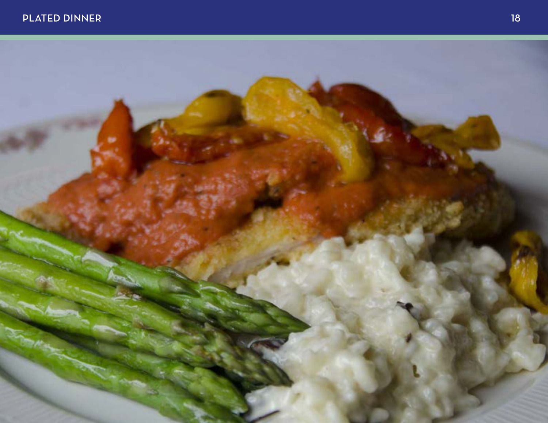# PLATED DINNER NEWSFILM AND THE RESERVE OF THE RESERVE OF THE RESERVE OF THE RESERVE OF THE RESERVE OF THE RESERVE OF THE RESERVE OF THE RESERVE OF THE RESERVE OF THE RESERVE OF THE RESERVE OF THE RESERVE OF THE RESERVE OF

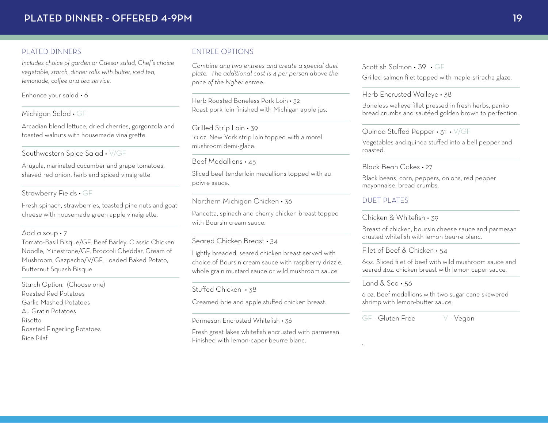# PLATED DINNERS

*Includes choice of garden or Caesar salad, Chef's choice vegetable, starch, dinner rolls with butter, iced tea, lemonade, coffee and tea service.*

Enhance your salad • 6

# Michigan Salad • GF

Arcadian blend lettuce, dried cherries, gorgonzola and toasted walnuts with housemade vinaigrette.

Southwestern Spice Salad • V/GF

Arugula, marinated cucumber and grape tomatoes, shaved red onion, herb and spiced vinaigrette

# Strawberry Fields • GF

Fresh spinach, strawberries, toasted pine nuts and goat cheese with housemade green apple vinaigrette.

# Add a soup • 7

Tomato-Basil Bisque/GF, Beef Barley, Classic Chicken Noodle, Minestrone/GF, Broccoli Cheddar, Cream of Mushroom, Gazpacho/V/GF, Loaded Baked Potato, Butternut Squash Bisque

Starch Option: (Choose one) Roasted Red Potatoes Garlic Mashed Potatoes Au Gratin Potatoes Risotto Roasted Fingerling Potatoes Rice Pilaf

# ENTREE OPTIONS

*Combine any two entrees and create a special duet plate. The additional cost is 4 per person above the price of the higher entree.*

Herb Roasted Boneless Pork Loin • 32 Roast pork loin finished with Michigan apple jus.

Grilled Strip Loin • 39 10 oz. New York strip loin topped with a morel mushroom demi-glace.

# Beef Medallions • 45

Sliced beef tenderloin medallions topped with au poivre sauce.

# Northern Michigan Chicken • 36

Pancetta, spinach and cherry chicken breast topped with Boursin cream sauce.

# Seared Chicken Breast • 34

Lightly breaded, seared chicken breast served with choice of Boursin cream sauce with raspberry drizzle, whole grain mustard sauce or wild mushroom sauce.

# Stuffed Chicken • 38

Creamed brie and apple stuffed chicken breast.

# Parmesan Encrusted Whitefish • 36

Fresh great lakes whitefish encrusted with parmesan. Finished with lemon-caper beurre blanc.

Scottish Salmon • 39 • GF Grilled salmon filet topped with maple-sriracha glaze.

# Herb Encrusted Walleye • 38

Boneless walleye fillet pressed in fresh herbs, panko bread crumbs and sautéed golden brown to perfection.

# Quinoa Stuffed Pepper • 31 • V/GF

Vegetables and quinoa stuffed into a bell pepper and roasted.

# Black Bean Cakes • 27

Black beans, corn, peppers, onions, red pepper mayonnaise, bread crumbs.

# DUET PLATES

# Chicken & Whitefish • 39

Breast of chicken, boursin cheese sauce and parmesan crusted whitefish with lemon beurre blanc.

# Filet of Beef & Chicken • 54

6oz. Sliced filet of beef with wild mushroom sauce and seared 4oz. chicken breast with lemon caper sauce.

# Land & Sea $\cdot$  56

6 oz. Beef medallions with two sugar cane skewered shrimp with lemon-butter sauce.

GF - Gluten Free  $V - V = V$ 

*.*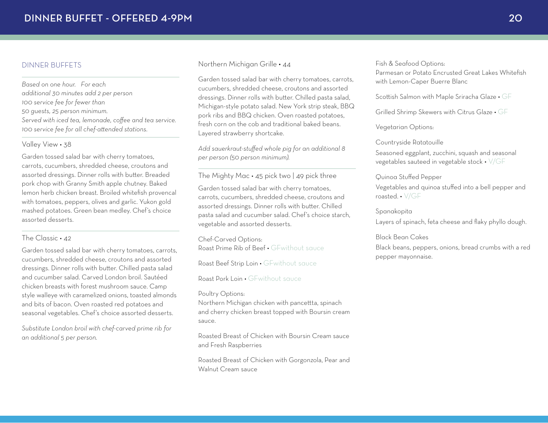# DINNER BUFFETS

*Based on one hour. For each additional 30 minutes add 2 per person 100 service fee for fewer than 50 guests, 25 person minimum. Served with iced tea, lemonade, coffee and tea service. 100 service fee for all chef-attended stations.* 

# Valley View • 38

Garden tossed salad bar with cherry tomatoes, carrots, cucumbers, shredded cheese, croutons and assorted dressings. Dinner rolls with butter. Breaded pork chop with Granny Smith apple chutney. Baked lemon herb chicken breast. Broiled whitefish provencal with tomatoes, peppers, olives and garlic. Yukon gold mashed potatoes. Green bean medley. Chef's choice assorted desserts.

# The Classic • 42

Garden tossed salad bar with cherry tomatoes, carrots, cucumbers, shredded cheese, croutons and assorted dressings. Dinner rolls with butter. Chilled pasta salad and cucumber salad. Carved London broil. Sautéed chicken breasts with forest mushroom sauce. Camp style walleye with caramelized onions, toasted almonds and bits of bacon. Oven roasted red potatoes and seasonal vegetables. Chef's choice assorted desserts.

*Substitute London broil with chef-carved prime rib for an additional 5 per person.* 

# Northern Michigan Grille • 44

Garden tossed salad bar with cherry tomatoes, carrots, cucumbers, shredded cheese, croutons and assorted dressings. Dinner rolls with butter. Chilled pasta salad, Michigan-style potato salad. New York strip steak, BBQ pork ribs and BBQ chicken. Oven roasted potatoes, fresh corn on the cob and traditional baked beans. Layered strawberry shortcake.

*Add sauerkraut-stuffed whole pig for an additional 8 per person (50 person minimum).* 

The Mighty Mac • 45 pick two | 49 pick three

Garden tossed salad bar with cherry tomatoes, carrots, cucumbers, shredded cheese, croutons and assorted dressings. Dinner rolls with butter. Chilled pasta salad and cucumber salad. Chef's choice starch, vegetable and assorted desserts.

Chef-Carved Options: Roast Prime Rib of Beef • GFwithout sauce

Roast Beef Strip Loin • GFwithout sauce

Roast Pork Loin • GFwithout sauce

#### Poultry Options:

Northern Michigan chicken with pancettta, spinach and cherry chicken breast topped with Boursin cream sauce.

Roasted Breast of Chicken with Boursin Cream sauce and Fresh Raspberries

Roasted Breast of Chicken with Gorgonzola, Pear and Walnut Cream sauce

#### Fish & Seafood Options:

Parmesan or Potato Encrusted Great Lakes Whitefish with Lemon-Caper Buerre Blanc

Scottish Salmon with Maple Sriracha Glaze • GF

Grilled Shrimp Skewers with Citrus Glaze • GF

Vegetarian Options:

Countryside Ratatouille

Seasoned eggplant, zucchini, squash and seasonal vegetables sauteed in vegetable stock • V/GF

Quinoa Stuffed Pepper

Vegetables and quinoa stuffed into a bell pepper and roasted. • V/GF

#### Spanakopita

Layers of spinach, feta cheese and flaky phyllo dough.

Black Bean Cakes

Black beans, peppers, onions, bread crumbs with a red pepper mayonnaise.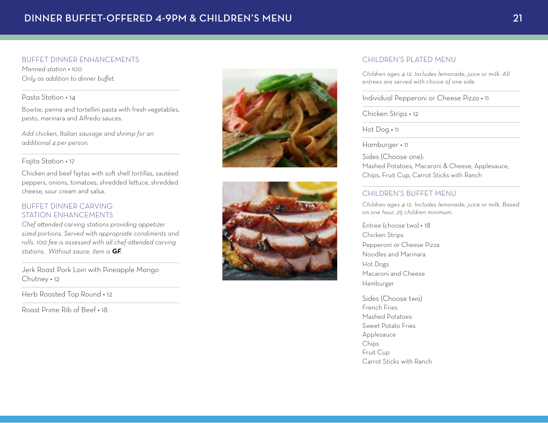# BUFFET DINNER ENHANCEMENTS

*Manned station • 100 Only as addition to dinner buffet.*

# Pasta Station • 14

Bowtie, penne and tortellini pasta with fresh vegetables, pesto, marinara and Alfredo sauces.

*Add chicken, Italian sausage and shrimp for an additional 4 per person.* 

# Fajita Station • 17

Chicken and beef fajitas with soft shell tortillas, sautéed peppers, onions, tomatoes, shredded lettuce, shredded cheese, sour cream and salsa.

# BUFFET DINNER CARVING STATION ENHANCEMENTS

*Chef attended carving stations providing appetizer sized portions. Served with appropriate condiments and rolls. 100 fee is assessed with all chef-attended carving stations. Without sauce, item is GF.*

Jerk Roast Pork Loin with Pineapple Mango Chutney • 12

Herb Roasted Top Round • 12

Roast Prime Rib of Beef • 18





# CHILDREN'S PLATED MENU

*Children ages 4-12. Includes lemonade, juice or milk. All entrees are served with choice of one side.* 

Individual Pepperoni or Cheese Pizza • 11

Chicken Strips • 12

Hot Dog • 11

Hamburger • 11

Sides (Choose one): Mashed Potatoes, Macaroni & Cheese, Applesauce, Chips, Fruit Cup, Carrot Sticks with Ranch

# CHILDREN'S BUFFET MENU

*Children ages 4-12. Includes lemonade, juice or milk. Based on one hour. 25 children minimum.* 

Entree (choose two) • 18 Chicken Strips Pepperoni or Cheese Pizza Noodles and Marinara Hot Dogs Macaroni and Cheese Hamburger

Sides (Choose two) French Fries Mashed Potatoes Sweet Potato Fries Applesauce Chips Fruit Cup Carrot Sticks with Ranch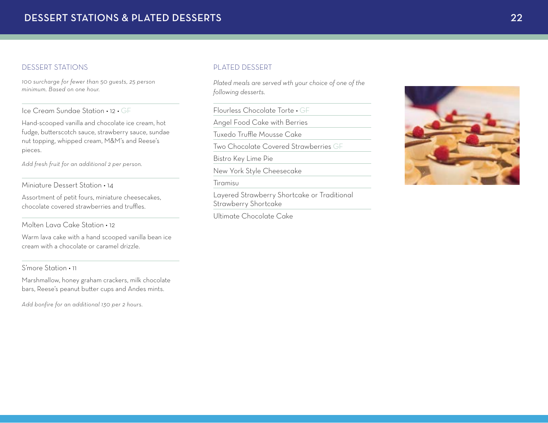# DESSERT STATIONS

*100 surcharge for fewer than 50 guests, 25 person minimum. Based on one hour.*

Ice Cream Sundae Station • 12 • GF

Hand-scooped vanilla and chocolate ice cream, hot fudge, butterscotch sauce, strawberry sauce, sundae nut topping, whipped cream, M&M's and Reese's pieces.

*Add fresh fruit for an additional 2 per person.* 

Miniature Dessert Station • 14

Assortment of petit fours, miniature cheesecakes, chocolate covered strawberries and truffles.

Molten Lava Cake Station • 12

Warm lava cake with a hand scooped vanilla bean ice cream with a chocolate or caramel drizzle.

S'more Station • 11

Marshmallow, honey graham crackers, milk chocolate bars, Reese's peanut butter cups and Andes mints.

*Add bonfire for an additional 130 per 2 hours.* 

# PLATED DESSERT

*Plated meals are served wth your choice of one of the following desserts.*

Flourless Chocolate Torte • GF

Angel Food Cake with Berries

Tuxedo Truffle Mousse Cake

Two Chocolate Covered Strawberries GF

Bistro Key Lime Pie

New York Style Cheesecake

#### Tiramisu

Layered Strawberry Shortcake or Traditional Strawberry Shortcake

Ultimate Chocolate Cake

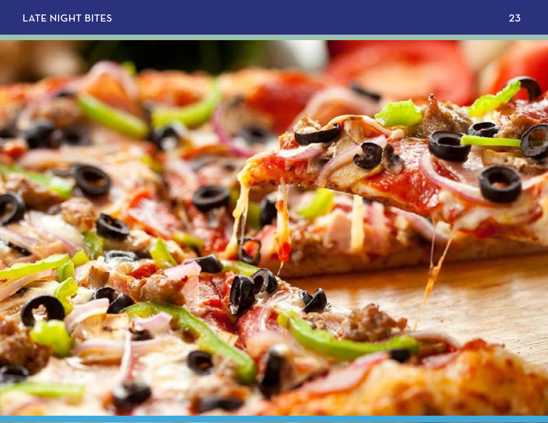# LATE NIGHT BITES 23

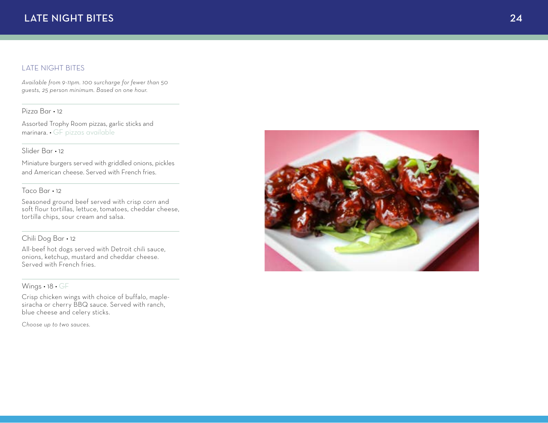# LATE NIGHT BITES

*Available from 9-11pm. 100 surcharge for fewer than 50 guests, 25 person minimum. Based on one hour.*

# Pizza Bar • 12

Assorted Trophy Room pizzas, garlic sticks and marinara. • GF pizzas available

# Slider Bar • 12

Miniature burgers served with griddled onions, pickles and American cheese. Served with French fries.

# Taco Bar • 12

Seasoned ground beef served with crisp corn and soft flour tortillas, lettuce, tomatoes, cheddar cheese, tortilla chips, sour cream and salsa.

# Chili Dog Bar • 12

All-beef hot dogs served with Detroit chili sauce, onions, ketchup, mustard and cheddar cheese. Served with French fries.

# Wings • 18 • GF

Crisp chicken wings with choice of buffalo, maplesiracha or cherry BBQ sauce. Served with ranch, blue cheese and celery sticks.

*Choose up to two sauces.* 

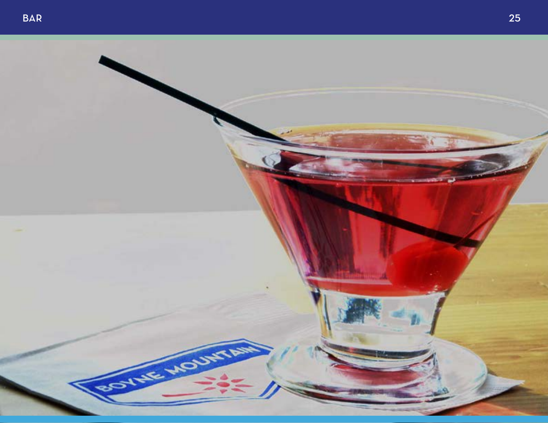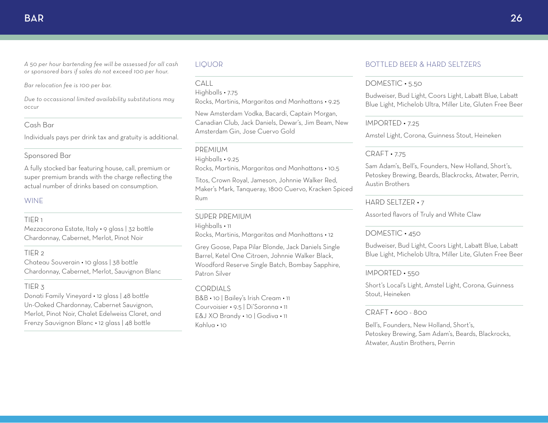*A 50 per hour bartending fee will be assessed for all cash or sponsored bars if sales do not exceed 100 per hour.* 

*Bar relocation fee is 100 per bar.* 

*Due to occassional limited availability substitutions may occur* 

# Cash Bar

Individuals pays per drink tax and gratuity is additional.

# Sponsored Bar

A fully stocked bar featuring house, call, premium or super premium brands with the charge reflecting the actual number of drinks based on consumption.

# WINE

# TIER 1

Mezzacorona Estate, Italy • 9 glass | 32 bottle Chardonnay, Cabernet, Merlot, Pinot Noir

# TIER 2

Chateau Souverain • 10 glass | 38 bottle Chardonnay, Cabernet, Merlot, Sauvignon Blanc

# TIER 3

Donati Family Vineyard • 12 glass | 48 bottle Un-Oaked Chardonnay, Cabernet Sauvignon, Merlot, Pinot Noir, Chalet Edelweiss Claret, and Frenzy Sauvignon Blanc • 12 glass | 48 bottle

# LIQUOR

# CALL

Highballs • 7.75 Rocks, Martinis, Margaritas and Manhattans • 9.25

New Amsterdam Vodka, Bacardi, Captain Morgan, Canadian Club, Jack Daniels, Dewar's, Jim Beam, New Amsterdam Gin, Jose Cuervo Gold

# PREMIUM

Highballs • 9.25

Rocks, Martinis, Margaritas and Manhattans • 10.5

Titos, Crown Royal, Jameson, Johnnie Walker Red, Maker's Mark, Tanqueray, 1800 Cuervo, Kracken Spiced Rum

#### SUPER PREMIUM

Highballs • 11

Rocks, Martinis, Margaritas and Manhattans • 12

Grey Goose, Papa Pilar Blonde, Jack Daniels Single Barrel, Ketel One Citroen, Johnnie Walker Black, Woodford Reserve Single Batch, Bombay Sapphire, Patron Silver

# CORDIALS

B&B • 10 | Bailey's Irish Cream • 11 Courvoisier • 9.5 | Di'Soronna • 11 E&J XO Brandy • 10 | Godiva • 11 Kahlua • 10

# BOTTLED BEER & HARD SELTZERS

# DOMESTIC • 5.50

Budweiser, Bud Light, Coors Light, Labatt Blue, Labatt Blue Light, Michelob Ultra, Miller Lite, Gluten Free Beer

# IMPORTED • 7.25

Amstel Light, Corona, Guinness Stout, Heineken

# $CRAFT \cdot 7.75$

Sam Adam's, Bell's, Founders, New Holland, Short's, Petoskey Brewing, Beards, Blackrocks, Atwater, Perrin, Austin Brothers

# HARD SELTZER • 7

Assorted flavors of Truly and White Claw

# DOMESTIC • 450

Budweiser, Bud Light, Coors Light, Labatt Blue, Labatt Blue Light, Michelob Ultra, Miller Lite, Gluten Free Beer

# IMPORTED • 550

Short's Local's Light, Amstel Light, Corona, Guinness Stout, Heineken

# CRAFT • 600 - 800

Bell's, Founders, New Holland, Short's, Petoskey Brewing, Sam Adam's, Beards, Blackrocks, Atwater, Austin Brothers, Perrin